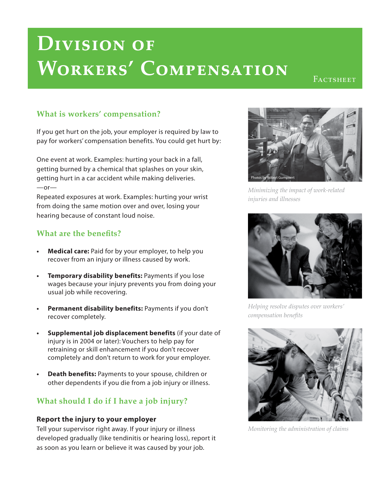# **Division of Workers' Compensation**

FACTSHEET

## **What is workers' compensation?**

If you get hurt on the job, your employer is required by law to pay for workers' compensation benefits. You could get hurt by:

One event at work. Examples: hurting your back in a fall, getting burned by a chemical that splashes on your skin, getting hurt in a car accident while making deliveries.  $-$ or $-$ 

Repeated exposures at work. Examples: hurting your wrist from doing the same motion over and over, losing your hearing because of constant loud noise.

## **What are the benefits?**

- **Medical care:** Paid for by your employer, to help you recover from an injury or illness caused by work.
- **Temporary disability benefits:** Payments if you lose wages because your injury prevents you from doing your usual job while recovering.
- **Permanent disability benefits:** Payments if you don't recover completely.
- **Supplemental job displacement benefits** (if your date of injury is in 2004 or later): Vouchers to help pay for retraining or skill enhancement if you don't recover completely and don't return to work for your employer.
- **Death benefits:** Payments to your spouse, children or other dependents if you die from a job injury or illness.

# **What should I do if I have a job injury?**

#### **Report the injury to your employer**

Tell your supervisor right away. If your injury or illness developed gradually (like tendinitis or hearing loss), report it as soon as you learn or believe it was caused by your job.



*Minimizing the impact of work-related injuries and illnesses* 



*Helping resolve disputes over workers' compensation benefits* 



*Monitoring the administration of claims*